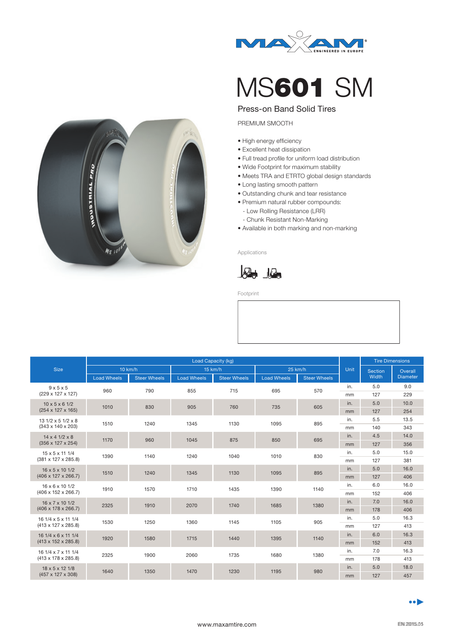

## MS601 SM

## Press-on Band Solid Tires

PREMIUM SMOOTH

- High energy efficiency
- Excellent heat dissipation
- Full tread profile for uniform load distribution
- Wide Footprint for maximum stability
- Meets TRA and ETRTO global design standards
- Long lasting smooth pattern
- Outstanding chunk and tear resistance
- Premium natural rubber compounds: - Low Rolling Resistance (LRR)
- Chunk Resistant Non-Marking
- Available in both marking and non-marking

Applications



Footprint

| <b>Size</b>                     | Load Capacity (kg) |                     |                    |                     |                    |                     |      | <b>Tire Dimensions</b> |                 |
|---------------------------------|--------------------|---------------------|--------------------|---------------------|--------------------|---------------------|------|------------------------|-----------------|
|                                 | 10 km/h            |                     | 15 km/h            |                     | 25 km/h            |                     | Unit | <b>Section</b>         | Overall         |
|                                 | <b>Load Wheels</b> | <b>Steer Wheels</b> | <b>Load Wheels</b> | <b>Steer Wheels</b> | <b>Load Wheels</b> | <b>Steer Wheels</b> |      | Width                  | <b>Diameter</b> |
| $9 \times 5 \times 5$           | 960                | 790                 | 855                | 715                 | 695                | 570                 | in.  | 5.0                    | 9.0             |
| (229 x 127 x 127)               |                    |                     |                    |                     |                    |                     | mm   | 127                    | 229             |
| $10 \times 5 \times 6$ 1/2      | 1010               | 830                 | 905                | 760                 | 735                | 605                 | in.  | 5.0                    | 10.0            |
| $(254 \times 127 \times 165)$   |                    |                     |                    |                     |                    |                     | mm   | 127                    | 254             |
| $131/2 \times 51/2 \times 8$    | 1510               | 1240                | 1345               | 1130                | 1095               | 895                 | in.  | 5.5                    | 13.5            |
| $(343 \times 140 \times 203)$   |                    |                     |                    |                     |                    |                     | mm   | 140                    | 343             |
| $14 \times 4$ $1/2 \times 8$    | 1170               | 960                 | 1045               | 875                 | 850                | 695                 | in.  | 4.5                    | 14.0            |
| $(356 \times 127 \times 254)$   |                    |                     |                    |                     |                    |                     | mm   | 127                    | 356             |
| $15 \times 5 \times 11$ 1/4     | 1390               | 1140                | 1240               | 1040                | 1010               | 830                 | in.  | 5.0                    | 15.0            |
| $(381 \times 127 \times 285.8)$ |                    |                     |                    |                     |                    |                     | mm   | 127                    | 381             |
| 16 x 5 x 10 1/2                 | 1510               | 1240                | 1345               | 1130                | 1095               | 895                 | in.  | 5.0                    | 16.0            |
| $(406 \times 127 \times 266.7)$ |                    |                     |                    |                     |                    |                     | mm   | 127                    | 406             |
| $16 \times 6 \times 10$ $1/2$   | 1910               | 1570                | 1710               | 1435                | 1390               | 1140                | in.  | 6.0                    | 16.0            |
| $(406 \times 152 \times 266.7)$ |                    |                     |                    |                     |                    |                     | mm   | 152                    | 406             |
| 16 x 7 x 10 1/2<br>2325         |                    | 1910                | 2070               | 1740                | 1685               | 1380                | in.  | 7.0                    | 16.0            |
| $(406 \times 178 \times 266.7)$ |                    |                     |                    |                     |                    |                     | mm   | 178                    | 406             |
| 16 1/4 x 5 x 11 1/4             | 1530               | 1250                | 1360               | 1145                | 1105               | 905                 | in.  | 5.0                    | 16.3            |
| $(413 \times 127 \times 285.8)$ |                    |                     |                    |                     |                    |                     | mm   | 127                    | 413             |
| 16 1/4 x 6 x 11 1/4             | 1920               | 1580                | 1715               | 1440                | 1395               | 1140                | in.  | 6.0                    | 16.3            |
| $(413 \times 152 \times 285.8)$ |                    |                     |                    |                     |                    |                     | mm   | 152                    | 413             |
| 16 1/4 x 7 x 11 1/4             | 2325               | 1900                | 2060               | 1735                | 1680               | 1380                | in.  | 7.0                    | 16.3            |
| $(413 \times 178 \times 285.8)$ |                    |                     |                    |                     |                    |                     | mm   | 178                    | 413             |
| 18 x 5 x 12 1/8                 | 1640               | 1350                | 1470               | 1230                | 1195               | 980                 | in.  | 5.0                    | 18.0            |
| (457 x 127 x 308)               |                    |                     |                    |                     |                    |                     | mm   | 127                    | 457             |